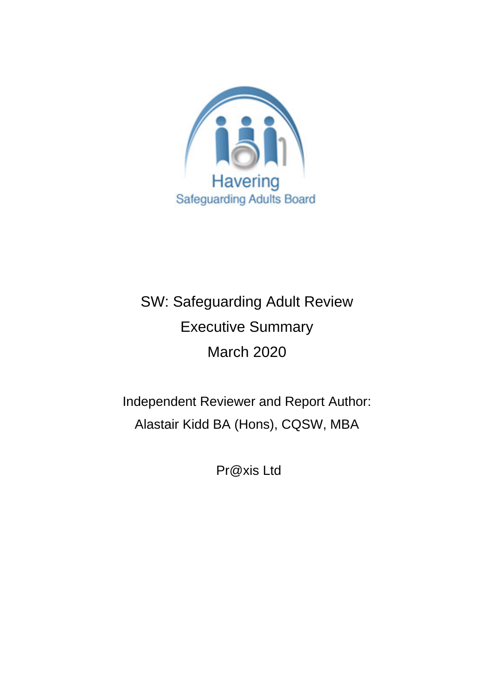

# SW: Safeguarding Adult Review Executive Summary March 2020

Independent Reviewer and Report Author: Alastair Kidd BA (Hons), CQSW, MBA

Pr@xis Ltd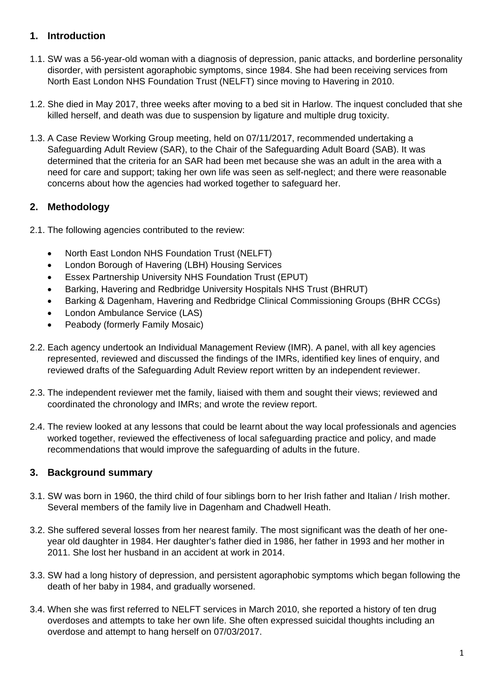## **1. Introduction**

- 1.1. SW was a 56-year-old woman with a diagnosis of depression, panic attacks, and borderline personality disorder, with persistent agoraphobic symptoms, since 1984. She had been receiving services from North East London NHS Foundation Trust (NELFT) since moving to Havering in 2010.
- 1.2. She died in May 2017, three weeks after moving to a bed sit in Harlow. The inquest concluded that she killed herself, and death was due to suspension by ligature and multiple drug toxicity.
- 1.3. A Case Review Working Group meeting, held on 07/11/2017, recommended undertaking a Safeguarding Adult Review (SAR), to the Chair of the Safeguarding Adult Board (SAB). It was determined that the criteria for an SAR had been met because she was an adult in the area with a need for care and support; taking her own life was seen as self-neglect; and there were reasonable concerns about how the agencies had worked together to safeguard her.

## **2. Methodology**

2.1. The following agencies contributed to the review:

- North East London NHS Foundation Trust (NELFT)
- London Borough of Havering (LBH) Housing Services
- Essex Partnership University NHS Foundation Trust (EPUT)
- Barking, Havering and Redbridge University Hospitals NHS Trust (BHRUT)
- Barking & Dagenham, Havering and Redbridge Clinical Commissioning Groups (BHR CCGs)
- London Ambulance Service (LAS)
- Peabody (formerly Family Mosaic)
- 2.2. Each agency undertook an Individual Management Review (IMR). A panel, with all key agencies represented, reviewed and discussed the findings of the IMRs, identified key lines of enquiry, and reviewed drafts of the Safeguarding Adult Review report written by an independent reviewer.
- 2.3. The independent reviewer met the family, liaised with them and sought their views; reviewed and coordinated the chronology and IMRs; and wrote the review report.
- 2.4. The review looked at any lessons that could be learnt about the way local professionals and agencies worked together, reviewed the effectiveness of local safeguarding practice and policy, and made recommendations that would improve the safeguarding of adults in the future.

## **3. Background summary**

- 3.1. SW was born in 1960, the third child of four siblings born to her Irish father and Italian / Irish mother. Several members of the family live in Dagenham and Chadwell Heath.
- 3.2. She suffered several losses from her nearest family. The most significant was the death of her oneyear old daughter in 1984. Her daughter's father died in 1986, her father in 1993 and her mother in 2011. She lost her husband in an accident at work in 2014.
- 3.3. SW had a long history of depression, and persistent agoraphobic symptoms which began following the death of her baby in 1984, and gradually worsened.
- 3.4. When she was first referred to NELFT services in March 2010, she reported a history of ten drug overdoses and attempts to take her own life. She often expressed suicidal thoughts including an overdose and attempt to hang herself on 07/03/2017.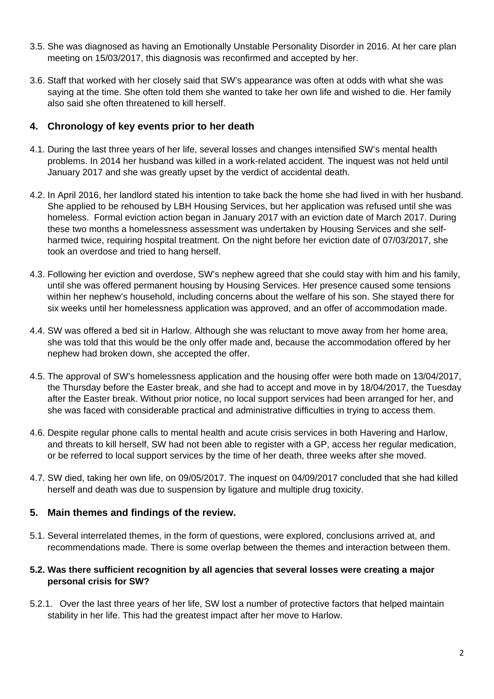- 3.5. She was diagnosed as having an Emotionally Unstable Personality Disorder in 2016. At her care plan meeting on 15/03/2017, this diagnosis was reconfirmed and accepted by her.
- 3.6. Staff that worked with her closely said that SW's appearance was often at odds with what she was saying at the time. She often told them she wanted to take her own life and wished to die. Her family also said she often threatened to kill herself.

### **4. Chronology of key events prior to her death**

- 4.1. During the last three years of her life, several losses and changes intensified SW's mental health problems. In 2014 her husband was killed in a work-related accident. The inquest was not held until January 2017 and she was greatly upset by the verdict of accidental death.
- 4.2. In April 2016, her landlord stated his intention to take back the home she had lived in with her husband. She applied to be rehoused by LBH Housing Services, but her application was refused until she was homeless. Formal eviction action began in January 2017 with an eviction date of March 2017. During these two months a homelessness assessment was undertaken by Housing Services and she selfharmed twice, requiring hospital treatment. On the night before her eviction date of 07/03/2017, she took an overdose and tried to hang herself.
- 4.3. Following her eviction and overdose, SW's nephew agreed that she could stay with him and his family, until she was offered permanent housing by Housing Services. Her presence caused some tensions within her nephew's household, including concerns about the welfare of his son. She stayed there for six weeks until her homelessness application was approved, and an offer of accommodation made.
- 4.4. SW was offered a bed sit in Harlow. Although she was reluctant to move away from her home area, she was told that this would be the only offer made and, because the accommodation offered by her nephew had broken down, she accepted the offer.
- 4.5. The approval of SW's homelessness application and the housing offer were both made on 13/04/2017, the Thursday before the Easter break, and she had to accept and move in by 18/04/2017, the Tuesday after the Easter break. Without prior notice, no local support services had been arranged for her, and she was faced with considerable practical and administrative difficulties in trying to access them.
- 4.6. Despite regular phone calls to mental health and acute crisis services in both Havering and Harlow, and threats to kill herself, SW had not been able to register with a GP, access her regular medication, or be referred to local support services by the time of her death, three weeks after she moved.
- 4.7. SW died, taking her own life, on 09/05/2017. The inquest on 04/09/2017 concluded that she had killed herself and death was due to suspension by ligature and multiple drug toxicity.

#### **5. Main themes and findings of the review.**

5.1. Several interrelated themes, in the form of questions, were explored, conclusions arrived at, and recommendations made. There is some overlap between the themes and interaction between them.

#### **5.2. Was there sufficient recognition by all agencies that several losses were creating a major personal crisis for SW?**

5.2.1. Over the last three years of her life, SW lost a number of protective factors that helped maintain stability in her life. This had the greatest impact after her move to Harlow.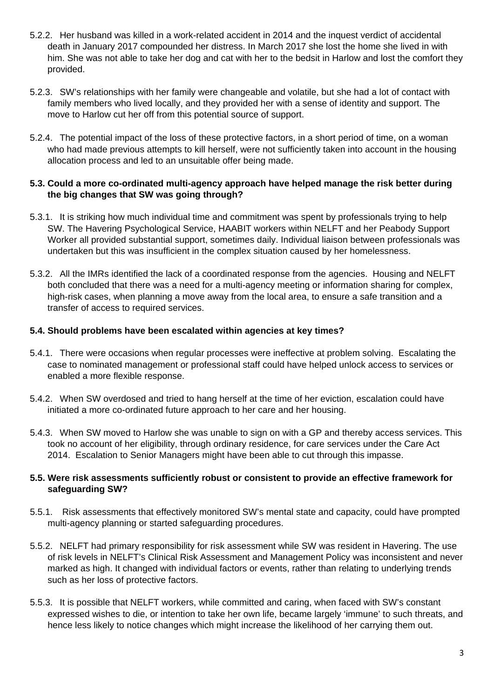- 5.2.2. Her husband was killed in a work-related accident in 2014 and the inquest verdict of accidental death in January 2017 compounded her distress. In March 2017 she lost the home she lived in with him. She was not able to take her dog and cat with her to the bedsit in Harlow and lost the comfort they provided.
- 5.2.3. SW's relationships with her family were changeable and volatile, but she had a lot of contact with family members who lived locally, and they provided her with a sense of identity and support. The move to Harlow cut her off from this potential source of support.
- 5.2.4. The potential impact of the loss of these protective factors, in a short period of time, on a woman who had made previous attempts to kill herself, were not sufficiently taken into account in the housing allocation process and led to an unsuitable offer being made.

#### **5.3. Could a more co-ordinated multi-agency approach have helped manage the risk better during the big changes that SW was going through?**

- 5.3.1. It is striking how much individual time and commitment was spent by professionals trying to help SW. The Havering Psychological Service, HAABIT workers within NELFT and her Peabody Support Worker all provided substantial support, sometimes daily. Individual liaison between professionals was undertaken but this was insufficient in the complex situation caused by her homelessness.
- 5.3.2. All the IMRs identified the lack of a coordinated response from the agencies. Housing and NELFT both concluded that there was a need for a multi-agency meeting or information sharing for complex, high-risk cases, when planning a move away from the local area, to ensure a safe transition and a transfer of access to required services.

#### **5.4. Should problems have been escalated within agencies at key times?**

- 5.4.1. There were occasions when regular processes were ineffective at problem solving. Escalating the case to nominated management or professional staff could have helped unlock access to services or enabled a more flexible response.
- 5.4.2. When SW overdosed and tried to hang herself at the time of her eviction, escalation could have initiated a more co-ordinated future approach to her care and her housing.
- 5.4.3. When SW moved to Harlow she was unable to sign on with a GP and thereby access services. This took no account of her eligibility, through ordinary residence, for care services under the Care Act 2014. Escalation to Senior Managers might have been able to cut through this impasse.

#### **5.5. Were risk assessments sufficiently robust or consistent to provide an effective framework for safeguarding SW?**

- 5.5.1. Risk assessments that effectively monitored SW's mental state and capacity, could have prompted multi-agency planning or started safeguarding procedures.
- 5.5.2. NELFT had primary responsibility for risk assessment while SW was resident in Havering. The use of risk levels in NELFT's Clinical Risk Assessment and Management Policy was inconsistent and never marked as high. It changed with individual factors or events, rather than relating to underlying trends such as her loss of protective factors.
- 5.5.3. It is possible that NELFT workers, while committed and caring, when faced with SW's constant expressed wishes to die, or intention to take her own life, became largely 'immune' to such threats, and hence less likely to notice changes which might increase the likelihood of her carrying them out.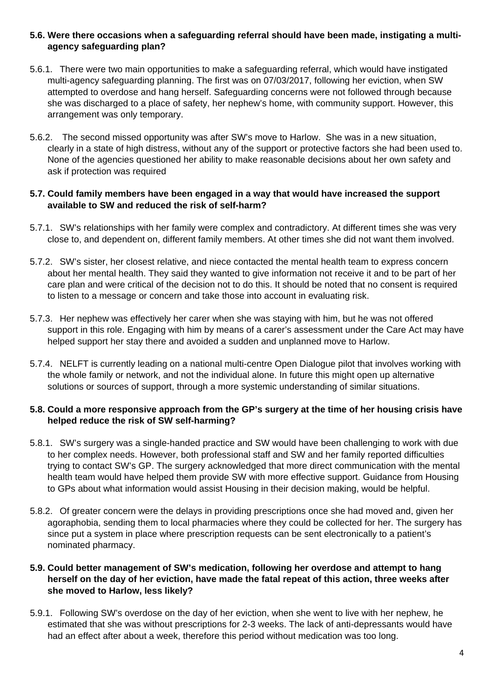#### **5.6. Were there occasions when a safeguarding referral should have been made, instigating a multiagency safeguarding plan?**

- 5.6.1. There were two main opportunities to make a safeguarding referral, which would have instigated multi-agency safeguarding planning. The first was on 07/03/2017, following her eviction, when SW attempted to overdose and hang herself. Safeguarding concerns were not followed through because she was discharged to a place of safety, her nephew's home, with community support. However, this arrangement was only temporary.
- 5.6.2. The second missed opportunity was after SW's move to Harlow. She was in a new situation, clearly in a state of high distress, without any of the support or protective factors she had been used to. None of the agencies questioned her ability to make reasonable decisions about her own safety and ask if protection was required

#### **5.7. Could family members have been engaged in a way that would have increased the support available to SW and reduced the risk of self-harm?**

- 5.7.1. SW's relationships with her family were complex and contradictory. At different times she was very close to, and dependent on, different family members. At other times she did not want them involved.
- 5.7.2. SW's sister, her closest relative, and niece contacted the mental health team to express concern about her mental health. They said they wanted to give information not receive it and to be part of her care plan and were critical of the decision not to do this. It should be noted that no consent is required to listen to a message or concern and take those into account in evaluating risk.
- 5.7.3. Her nephew was effectively her carer when she was staying with him, but he was not offered support in this role. Engaging with him by means of a carer's assessment under the Care Act may have helped support her stay there and avoided a sudden and unplanned move to Harlow.
- 5.7.4. NELFT is currently leading on a national multi-centre Open Dialogue pilot that involves working with the whole family or network, and not the individual alone. In future this might open up alternative solutions or sources of support, through a more systemic understanding of similar situations.

#### **5.8. Could a more responsive approach from the GP's surgery at the time of her housing crisis have helped reduce the risk of SW self-harming?**

- 5.8.1. SW's surgery was a single-handed practice and SW would have been challenging to work with due to her complex needs. However, both professional staff and SW and her family reported difficulties trying to contact SW's GP. The surgery acknowledged that more direct communication with the mental health team would have helped them provide SW with more effective support. Guidance from Housing to GPs about what information would assist Housing in their decision making, would be helpful.
- 5.8.2. Of greater concern were the delays in providing prescriptions once she had moved and, given her agoraphobia, sending them to local pharmacies where they could be collected for her. The surgery has since put a system in place where prescription requests can be sent electronically to a patient's nominated pharmacy.

#### **5.9. Could better management of SW's medication, following her overdose and attempt to hang herself on the day of her eviction, have made the fatal repeat of this action, three weeks after she moved to Harlow, less likely?**

5.9.1. Following SW's overdose on the day of her eviction, when she went to live with her nephew, he estimated that she was without prescriptions for 2-3 weeks. The lack of anti-depressants would have had an effect after about a week, therefore this period without medication was too long.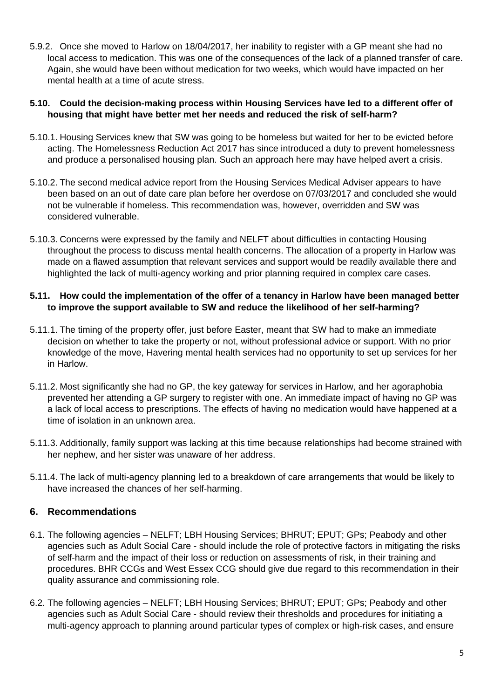5.9.2. Once she moved to Harlow on 18/04/2017, her inability to register with a GP meant she had no local access to medication. This was one of the consequences of the lack of a planned transfer of care. Again, she would have been without medication for two weeks, which would have impacted on her mental health at a time of acute stress.

#### **5.10. Could the decision-making process within Housing Services have led to a different offer of housing that might have better met her needs and reduced the risk of self-harm?**

- 5.10.1. Housing Services knew that SW was going to be homeless but waited for her to be evicted before acting. The Homelessness Reduction Act 2017 has since introduced a duty to prevent homelessness and produce a personalised housing plan. Such an approach here may have helped avert a crisis.
- 5.10.2. The second medical advice report from the Housing Services Medical Adviser appears to have been based on an out of date care plan before her overdose on 07/03/2017 and concluded she would not be vulnerable if homeless. This recommendation was, however, overridden and SW was considered vulnerable.
- 5.10.3. Concerns were expressed by the family and NELFT about difficulties in contacting Housing throughout the process to discuss mental health concerns. The allocation of a property in Harlow was made on a flawed assumption that relevant services and support would be readily available there and highlighted the lack of multi-agency working and prior planning required in complex care cases.

#### **5.11. How could the implementation of the offer of a tenancy in Harlow have been managed better to improve the support available to SW and reduce the likelihood of her self-harming?**

- 5.11.1. The timing of the property offer, just before Easter, meant that SW had to make an immediate decision on whether to take the property or not, without professional advice or support. With no prior knowledge of the move, Havering mental health services had no opportunity to set up services for her in Harlow.
- 5.11.2. Most significantly she had no GP, the key gateway for services in Harlow, and her agoraphobia prevented her attending a GP surgery to register with one. An immediate impact of having no GP was a lack of local access to prescriptions. The effects of having no medication would have happened at a time of isolation in an unknown area.
- 5.11.3. Additionally, family support was lacking at this time because relationships had become strained with her nephew, and her sister was unaware of her address.
- 5.11.4. The lack of multi-agency planning led to a breakdown of care arrangements that would be likely to have increased the chances of her self-harming.

## **6. Recommendations**

- 6.1. The following agencies NELFT; LBH Housing Services; BHRUT; EPUT; GPs; Peabody and other agencies such as Adult Social Care - should include the role of protective factors in mitigating the risks of self-harm and the impact of their loss or reduction on assessments of risk, in their training and procedures. BHR CCGs and West Essex CCG should give due regard to this recommendation in their quality assurance and commissioning role.
- 6.2. The following agencies NELFT; LBH Housing Services; BHRUT; EPUT; GPs; Peabody and other agencies such as Adult Social Care - should review their thresholds and procedures for initiating a multi-agency approach to planning around particular types of complex or high-risk cases, and ensure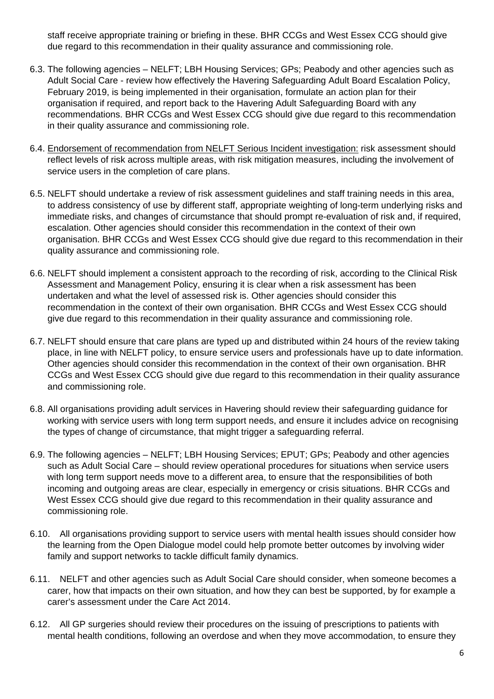staff receive appropriate training or briefing in these. BHR CCGs and West Essex CCG should give due regard to this recommendation in their quality assurance and commissioning role.

- 6.3. The following agencies NELFT; LBH Housing Services; GPs; Peabody and other agencies such as Adult Social Care - review how effectively the Havering Safeguarding Adult Board Escalation Policy, February 2019, is being implemented in their organisation, formulate an action plan for their organisation if required, and report back to the Havering Adult Safeguarding Board with any recommendations. BHR CCGs and West Essex CCG should give due regard to this recommendation in their quality assurance and commissioning role.
- 6.4. Endorsement of recommendation from NELFT Serious Incident investigation: risk assessment should reflect levels of risk across multiple areas, with risk mitigation measures, including the involvement of service users in the completion of care plans.
- 6.5. NELFT should undertake a review of risk assessment guidelines and staff training needs in this area, to address consistency of use by different staff, appropriate weighting of long-term underlying risks and immediate risks, and changes of circumstance that should prompt re-evaluation of risk and, if required, escalation. Other agencies should consider this recommendation in the context of their own organisation. BHR CCGs and West Essex CCG should give due regard to this recommendation in their quality assurance and commissioning role.
- 6.6. NELFT should implement a consistent approach to the recording of risk, according to the Clinical Risk Assessment and Management Policy, ensuring it is clear when a risk assessment has been undertaken and what the level of assessed risk is. Other agencies should consider this recommendation in the context of their own organisation. BHR CCGs and West Essex CCG should give due regard to this recommendation in their quality assurance and commissioning role.
- 6.7. NELFT should ensure that care plans are typed up and distributed within 24 hours of the review taking place, in line with NELFT policy, to ensure service users and professionals have up to date information. Other agencies should consider this recommendation in the context of their own organisation. BHR CCGs and West Essex CCG should give due regard to this recommendation in their quality assurance and commissioning role.
- 6.8. All organisations providing adult services in Havering should review their safeguarding guidance for working with service users with long term support needs, and ensure it includes advice on recognising the types of change of circumstance, that might trigger a safeguarding referral.
- 6.9. The following agencies NELFT; LBH Housing Services; EPUT; GPs; Peabody and other agencies such as Adult Social Care – should review operational procedures for situations when service users with long term support needs move to a different area, to ensure that the responsibilities of both incoming and outgoing areas are clear, especially in emergency or crisis situations. BHR CCGs and West Essex CCG should give due regard to this recommendation in their quality assurance and commissioning role.
- 6.10. All organisations providing support to service users with mental health issues should consider how the learning from the Open Dialogue model could help promote better outcomes by involving wider family and support networks to tackle difficult family dynamics.
- 6.11. NELFT and other agencies such as Adult Social Care should consider, when someone becomes a carer, how that impacts on their own situation, and how they can best be supported, by for example a carer's assessment under the Care Act 2014.
- 6.12. All GP surgeries should review their procedures on the issuing of prescriptions to patients with mental health conditions, following an overdose and when they move accommodation, to ensure they